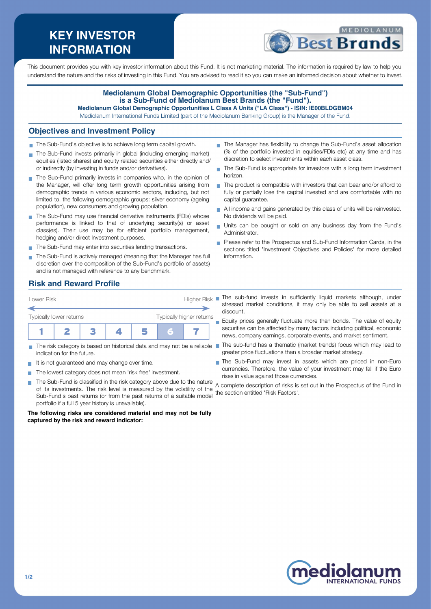# **KEY INVESTOR INFORMATION**



This document provides you with key investor information about this Fund. It is not marketing material. The information is required by law to help you understand the nature and the risks of investing in this Fund. You are advised to read it so you can make an informed decision about whether to invest.

#### **Mediolanum Global Demographic Opportunities (the "Sub-Fund") is a Sub-Fund of Mediolanum Best Brands (the "Fund"). Mediolanum Global Demographic Opportunities L Class A Units ("LA Class") - ISIN: IE00BLDGBM04**

Mediolanum International Funds Limited (part of the Mediolanum Banking Group) is the Manager of the Fund.

### **Objectives and Investment Policy**

- The Sub-Fund's objective is to achieve long term capital growth.
- The Sub-Fund invests primarily in global (including emerging market) equities (listed shares) and equity related securities either directly and/ or indirectly (by investing in funds and/or derivatives).
- The Sub-Fund primarily invests in companies who, in the opinion of the Manager, will offer long term growth opportunities arising from demographic trends in various economic sectors, including, but not limited to, the following demographic groups: silver economy (ageing population), new consumers and growing population.
- The Sub-Fund may use financial derivative instruments (FDIs) whose performance is linked to that of underlying security(s) or asset class(es). Their use may be for efficient portfolio management, hedging and/or direct Investment purposes.
- The Sub-Fund may enter into securities lending transactions.
- The Sub-Fund is actively managed (meaning that the Manager has full discretion over the composition of the Sub-Fund's portfolio of assets) and is not managed with reference to any benchmark.
- The Manager has flexibility to change the Sub-Fund's asset allocation (% of the portfolio invested in equities/FDIs etc) at any time and has discretion to select investments within each asset class.
- The Sub-Fund is appropriate for investors with a long term investment horizon.
- The product is compatible with investors that can bear and/or afford to fully or partially lose the capital invested and are comfortable with no capital guarantee.
- All income and gains generated by this class of units will be reinvested. No dividends will be paid.
- Units can be bought or sold on any business day from the Fund's Administrator.
- Please refer to the Prospectus and Sub-Fund Information Cards. in the sections titled 'Investment Objectives and Policies' for more detailed information.

### **Risk and Reward Profile**



- The risk category is based on historical data and may not be a reliable  $\blacksquare$ indication for the future.
- It is not guaranteed and may change over time.
- The lowest category does not mean 'risk free' investment. m.
- **I** The Sub-Fund is classified in the risk category above due to the nature of its investments. The risk level is measured by the volatility of the Sub-Fund's past returns (or from the past returns of a suitable model portfolio if a full 5 year history is unavailable).

#### **The following risks are considered material and may not be fully captured by the risk and reward indicator:**

The sub-fund invests in sufficiently liquid markets although, under stressed market conditions, it may only be able to sell assets at a discount.

Equity prices generally fluctuate more than bonds. The value of equity  $\overline{\phantom{a}}$ securities can be affected by many factors including political, economic news, company earnings, corporate events, and market sentiment.

- The sub-fund has a thematic (market trends) focus which may lead to greater price fluctuations than a broader market strategy.
- The Sub-Fund may invest in assets which are priced in non-Euro currencies. Therefore, the value of your investment may fall if the Euro rises in value against those currencies. rises in value against those currencies.
- A complete description of risks is set out in the Prospectus of the Fund in the section entitled 'Risk Factors'.